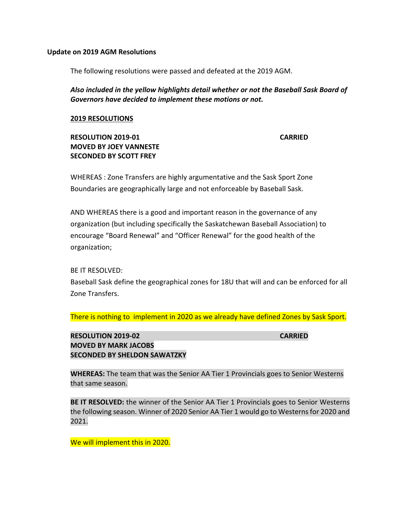#### **Update on 2019 AGM Resolutions**

The following resolutions were passed and defeated at the 2019 AGM.

*Also included in the yellow highlights detail whether or not the Baseball Sask Board of Governors have decided to implement these motions or not.*

#### **2019 RESOLUTIONS**

# **RESOLUTION 2019-01 CARRIED MOVED BY JOEY VANNESTE SECONDED BY SCOTT FREY**

WHEREAS : Zone Transfers are highly argumentative and the Sask Sport Zone Boundaries are geographically large and not enforceable by Baseball Sask.

AND WHEREAS there is a good and important reason in the governance of any organization (but including specifically the Saskatchewan Baseball Association) to encourage "Board Renewal" and "Officer Renewal" for the good health of the organization;

BE IT RESOLVED:

Baseball Sask define the geographical zones for 18U that will and can be enforced for all Zone Transfers.

There is nothing to implement in 2020 as we already have defined Zones by Sask Sport.

**RESOLUTION 2019-02 CARRIED MOVED BY MARK JACOBS SECONDED BY SHELDON SAWATZKY** 

**WHEREAS:** The team that was the Senior AA Tier 1 Provincials goes to Senior Westerns that same season.

**BE IT RESOLVED:** the winner of the Senior AA Tier 1 Provincials goes to Senior Westerns the following season. Winner of 2020 Senior AA Tier 1 would go to Westerns for 2020 and 2021.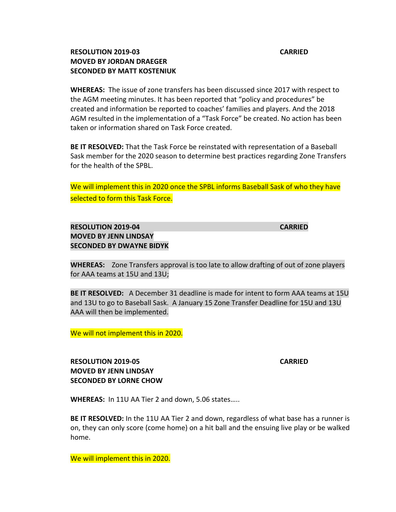### **RESOLUTION 2019-03 CARRIED MOVED BY JORDAN DRAEGER SECONDED BY MATT KOSTENIUK**

**WHEREAS:** The issue of zone transfers has been discussed since 2017 with respect to the AGM meeting minutes. It has been reported that "policy and procedures" be created and information be reported to coaches' families and players. And the 2018 AGM resulted in the implementation of a "Task Force" be created. No action has been taken or information shared on Task Force created.

**BE IT RESOLVED:** That the Task Force be reinstated with representation of a Baseball Sask member for the 2020 season to determine best practices regarding Zone Transfers for the health of the SPBL.

We will implement this in 2020 once the SPBL informs Baseball Sask of who they have selected to form this Task Force.

# **RESOLUTION 2019-04 CARRIED MOVED BY JENN LINDSAY SECONDED BY DWAYNE BIDYK**

**WHEREAS:** Zone Transfers approval is too late to allow drafting of out of zone players for AAA teams at 15U and 13U;

**BE IT RESOLVED:** A December 31 deadline is made for intent to form AAA teams at 15U and 13U to go to Baseball Sask. A January 15 Zone Transfer Deadline for 15U and 13U AAA will then be implemented.

We will not implement this in 2020.

**RESOLUTION 2019-05 CARRIED MOVED BY JENN LINDSAY SECONDED BY LORNE CHOW**

**WHEREAS:** In 11U AA Tier 2 and down, 5.06 states…..

**BE IT RESOLVED:** In the 11U AA Tier 2 and down, regardless of what base has a runner is on, they can only score (come home) on a hit ball and the ensuing live play or be walked home.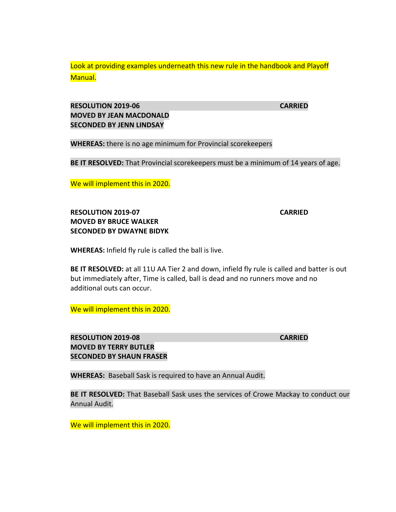Look at providing examples underneath this new rule in the handbook and Playoff Manual.

## **RESOLUTION 2019-06 CARRIED MOVED BY JEAN MACDONALD SECONDED BY JENN LINDSAY**

**WHEREAS:** there is no age minimum for Provincial scorekeepers

**BE IT RESOLVED:** That Provincial scorekeepers must be a minimum of 14 years of age.

We will implement this in 2020.

# **RESOLUTION 2019-07 CARRIED MOVED BY BRUCE WALKER SECONDED BY DWAYNE BIDYK**

**WHEREAS:** Infield fly rule is called the ball is live.

**BE IT RESOLVED:** at all 11U AA Tier 2 and down, infield fly rule is called and batter is out but immediately after, Time is called, ball is dead and no runners move and no additional outs can occur.

We will implement this in 2020.

**RESOLUTION 2019-08 CARRIED MOVED BY TERRY BUTLER SECONDED BY SHAUN FRASER** 

**WHEREAS:** Baseball Sask is required to have an Annual Audit.

**BE IT RESOLVED:** That Baseball Sask uses the services of Crowe Mackay to conduct our Annual Audit.